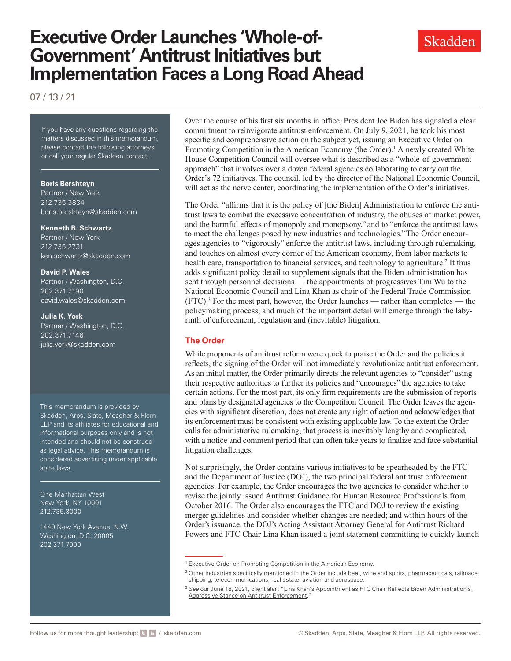# **Executive Order Launches 'Whole-of-Government' Antitrust Initiatives but Implementation Faces a Long Road Ahead**

07 / 13 / 21

If you have any questions regarding the matters discussed in this memorandum, please contact the following attorneys or call your regular Skadden contact.

#### **Boris Bershteyn**

Partner / New York 212.735.3834 [boris.bershteyn@skadden.com](mailto: boris.bershteyn@skadden.com)

#### **Kenneth B. Schwartz**

Partner / New York 212.735.2731 [ken.schwartz@skadden.com](mailto: ken.schwartz@skadden.com)

#### **David P. Wales**

Partner / Washington, D.C. 202.371.7190 [david.wales@skadden.com](mailto: david.wales@skadden.com)

#### **Julia K. York**

Partner / Washington, D.C. 202.371.7146 [julia.york@skadden.com](mailto: julia.york@skadden.com)

This memorandum is provided by Skadden, Arps, Slate, Meagher & Flom LLP and its affiliates for educational and informational purposes only and is not intended and should not be construed as legal advice. This memorandum is considered advertising under applicable state laws.

One Manhattan West New York, NY 10001 212.735.3000

1440 New York Avenue, N.W. Washington, D.C. 20005 202.371.7000

Over the course of his first six months in office, President Joe Biden has signaled a clear commitment to reinvigorate antitrust enforcement. On July 9, 2021, he took his most specific and comprehensive action on the subject yet, issuing an Executive Order on Promoting Competition in the American Economy (the Order).<sup>1</sup> A newly created White House Competition Council will oversee what is described as a "whole-of-government approach" that involves over a dozen federal agencies collaborating to carry out the Order's 72 initiatives. The council, led by the director of the National Economic Council, will act as the nerve center, coordinating the implementation of the Order's initiatives.

Skadden

The Order "affirms that it is the policy of [the Biden] Administration to enforce the antitrust laws to combat the excessive concentration of industry, the abuses of market power, and the harmful effects of monopoly and monopsony," and to "enforce the antitrust laws to meet the challenges posed by new industries and technologies." The Order encourages agencies to "vigorously" enforce the antitrust laws, including through rulemaking, and touches on almost every corner of the American economy, from labor markets to health care, transportation to financial services, and technology to agriculture.<sup>2</sup> It thus adds significant policy detail to supplement signals that the Biden administration has sent through personnel decisions — the appointments of progressives Tim Wu to the National Economic Council and Lina Khan as chair of the Federal Trade Commission (FTC).3 For the most part, however, the Order launches — rather than completes — the policymaking process, and much of the important detail will emerge through the labyrinth of enforcement, regulation and (inevitable) litigation.

## **The Order**

While proponents of antitrust reform were quick to praise the Order and the policies it reflects, the signing of the Order will not immediately revolutionize antitrust enforcement. As an initial matter, the Order primarily directs the relevant agencies to "consider" using their respective authorities to further its policies and "encourages" the agencies to take certain actions. For the most part, its only firm requirements are the submission of reports and plans by designated agencies to the Competition Council. The Order leaves the agencies with significant discretion, does not create any right of action and acknowledges that its enforcement must be consistent with existing applicable law. To the extent the Order calls for administrative rulemaking, that process is inevitably lengthy and complicated, with a notice and comment period that can often take years to finalize and face substantial litigation challenges.

Not surprisingly, the Order contains various initiatives to be spearheaded by the FTC and the Department of Justice (DOJ), the two principal federal antitrust enforcement agencies. For example, the Order encourages the two agencies to consider whether to revise the jointly issued Antitrust Guidance for Human Resource Professionals from October 2016. The Order also encourages the FTC and DOJ to review the existing merger guidelines and consider whether changes are needed; and within hours of the Order's issuance, the DOJ's Acting Assistant Attorney General for Antitrust Richard Powers and FTC Chair Lina Khan issued a joint statement committing to quickly launch

<sup>&</sup>lt;sup>1</sup> [Executive Order on Promoting Competition in the American Economy.](https://www.whitehouse.gov/briefing-room/presidential-actions/2021/07/09/executive-order-on-promoting-competition-in-the-american-economy/)

<sup>&</sup>lt;sup>2</sup> Other industries specifically mentioned in the Order include beer, wine and spirits, pharmaceuticals, railroads, shipping, telecommunications, real estate, aviation and aerospace.

<sup>&</sup>lt;sup>3</sup> See our June 18, 2021, client alert "Lina Khan's Appointment as FTC Chair Reflects Biden Administration's [Aggressive Stance on Antitrust Enforcement.](https://www.skadden.com/insights/publications/2021/06/lina-khans-appointment-as-ftc-chair)